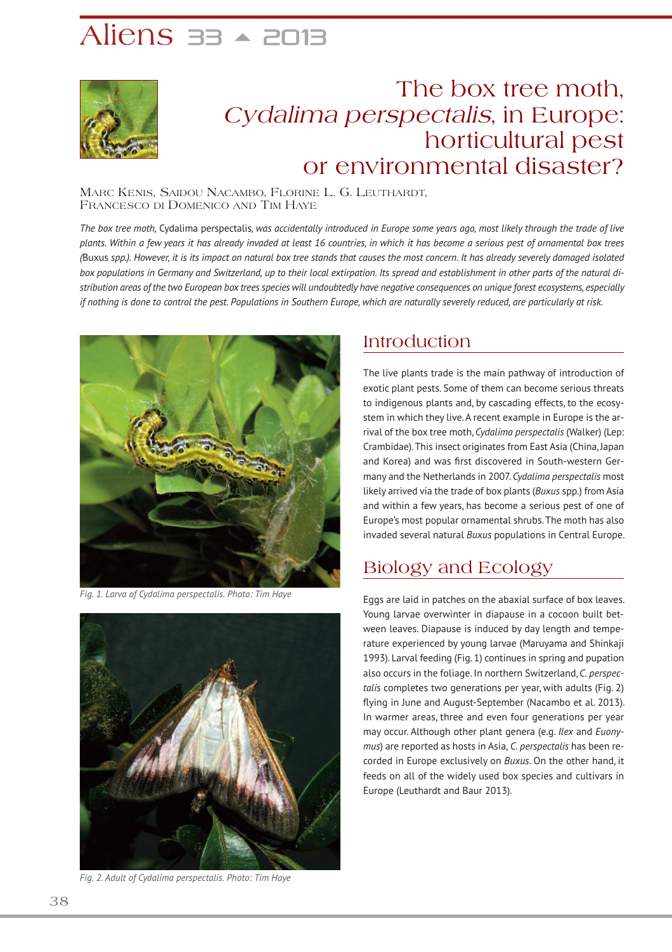# Aliens  $\overline{\mathsf{a}}$   $\overline{\mathsf{a}}$   $\overline{\mathsf{a}}$   $\overline{\mathsf{a}}$   $\overline{\mathsf{a}}$   $\overline{\mathsf{a}}$   $\overline{\mathsf{a}}$   $\overline{\mathsf{a}}$   $\overline{\mathsf{a}}$   $\overline{\mathsf{a}}$   $\overline{\mathsf{a}}$   $\overline{\mathsf{a}}$   $\overline{\mathsf{a}}$   $\overline{\mathsf{a}}$   $\overline{\mathsf{a}}$   $\overline{\mathsf{a}}$   $\overline{\mathsf{a}}$   $\overline{\mathsf{a}}$



## The box tree moth, Cydalima perspectalis, in Europe: horticultural pest or environmental disaster?

MARC KENIS, SAIDOU NACAMBO, FLORINE L. G. LEUTHARDT, FRANCESCO DI DOMENICO AND TIM HAYE

*The box tree moth,* Cydalima perspectalis*, was accidentally introduced in Europe some years ago, most likely through the trade of live plants. Within a few years it has already invaded at least 16 countries, in which it has become a serious pest of ornamental box trees (*Buxus *spp.). However, it is its impact on natural box tree stands that causes the most concern. It has already severely damaged isolated box populations in Germany and Switzerland, up to their local extirpation. Its spread and establishment in other parts of the natural distribution areas of the two European box trees species will undoubtedly have negative consequences on unique forest ecosystems, especially if nothing is done to control the pest. Populations in Southern Europe, which are naturally severely reduced, are particularly at risk.*



*Fig. 1. Larva of Cydalima perspectalis. Photo: Tim Haye*



*Fig. 2. Adult of Cydalima perspectalis. Photo: Tim Haye*

### Introduction

The live plants trade is the main pathway of introduction of exotic plant pests. Some of them can become serious threats to indigenous plants and, by cascading effects, to the ecosystem in which they live. A recent example in Europe is the arrival of the box tree moth, *Cydalima perspectalis* (Walker) (Lep: Crambidae). This insect originates from East Asia (China, Japan and Korea) and was first discovered in South-western Germany and the Netherlands in 2007. *Cydalima perspectalis* most likely arrived via the trade of box plants (*Buxus* spp.) from Asia and within a few years, has become a serious pest of one of Europe's most popular ornamental shrubs. The moth has also invaded several natural *Buxus* populations in Central Europe.

### Biology and Ecology

Eggs are laid in patches on the abaxial surface of box leaves. Young larvae overwinter in diapause in a cocoon built between leaves. Diapause is induced by day length and temperature experienced by young larvae (Maruyama and Shinkaji 1993). Larval feeding (Fig. 1) continues in spring and pupation also occurs in the foliage. In northern Switzerland, *C. perspectalis* completes two generations per year, with adults (Fig. 2) flying in June and August-September (Nacambo et al. 2013). In warmer areas, three and even four generations per year may occur. Although other plant genera (e.g. *Ilex* and *Euonymus*) are reported as hosts in Asia, *C. perspectalis* has been recorded in Europe exclusively on *Buxus*. On the other hand, it feeds on all of the widely used box species and cultivars in Europe (Leuthardt and Baur 2013).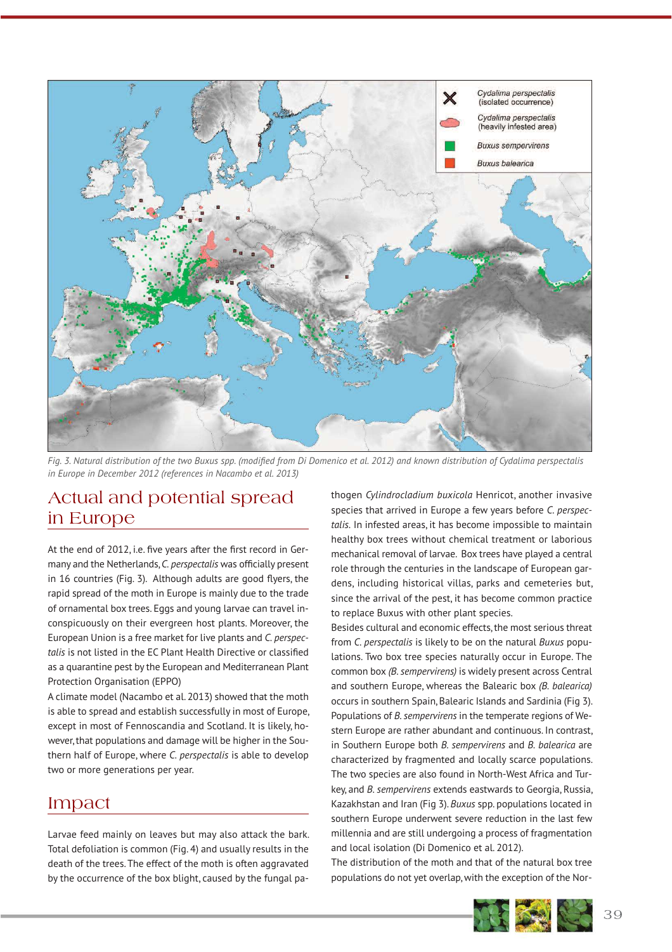

*Fig. 3. Natural distribution of the two Buxus spp. (modified from Di Domenico et al. 2012) and known distribution of Cydalima perspectalis in Europe in December 2012 (references in Nacambo et al. 2013)*

### Actual and potential spread in Europe

At the end of 2012, i.e. five years after the first record in Germany and the Netherlands, *C. perspectalis* was officially present in 16 countries (Fig. 3). Although adults are good flyers, the rapid spread of the moth in Europe is mainly due to the trade of ornamental box trees. Eggs and young larvae can travel inconspicuously on their evergreen host plants. Moreover, the European Union is a free market for live plants and *C. perspectalis* is not listed in the EC Plant Health Directive or classified as a quarantine pest by the European and Mediterranean Plant Protection Organisation (EPPO)

A climate model (Nacambo et al. 2013) showed that the moth is able to spread and establish successfully in most of Europe, except in most of Fennoscandia and Scotland. It is likely, however, that populations and damage will be higher in the Southern half of Europe, where *C. perspectalis* is able to develop two or more generations per year.

### Impact

Larvae feed mainly on leaves but may also attack the bark. Total defoliation is common (Fig. 4) and usually results in the death of the trees. The effect of the moth is often aggravated by the occurrence of the box blight, caused by the fungal pa-

thogen *Cylindrocladium buxicola* Henricot, another invasive species that arrived in Europe a few years before *C. perspectalis.* In infested areas, it has become impossible to maintain healthy box trees without chemical treatment or laborious mechanical removal of larvae. Box trees have played a central role through the centuries in the landscape of European gardens, including historical villas, parks and cemeteries but, since the arrival of the pest, it has become common practice to replace Buxus with other plant species.

Besides cultural and economic effects, the most serious threat from *C. perspectalis* is likely to be on the natural *Buxus* populations. Two box tree species naturally occur in Europe. The common box *(B. sempervirens)* is widely present across Central and southern Europe, whereas the Balearic box *(B. balearica)* occurs in southern Spain, Balearic Islands and Sardinia (Fig 3). Populations of *B. sempervirens* in the temperate regions of Western Europe are rather abundant and continuous. In contrast, in Southern Europe both *B. sempervirens* and *B. balearica* are characterized by fragmented and locally scarce populations. The two species are also found in North-West Africa and Turkey, and *B. sempervirens* extends eastwards to Georgia, Russia, Kazakhstan and Iran (Fig 3). *Buxus* spp. populations located in southern Europe underwent severe reduction in the last few millennia and are still undergoing a process of fragmentation and local isolation (Di Domenico et al. 2012).

The distribution of the moth and that of the natural box tree populations do not yet overlap, with the exception of the Nor-

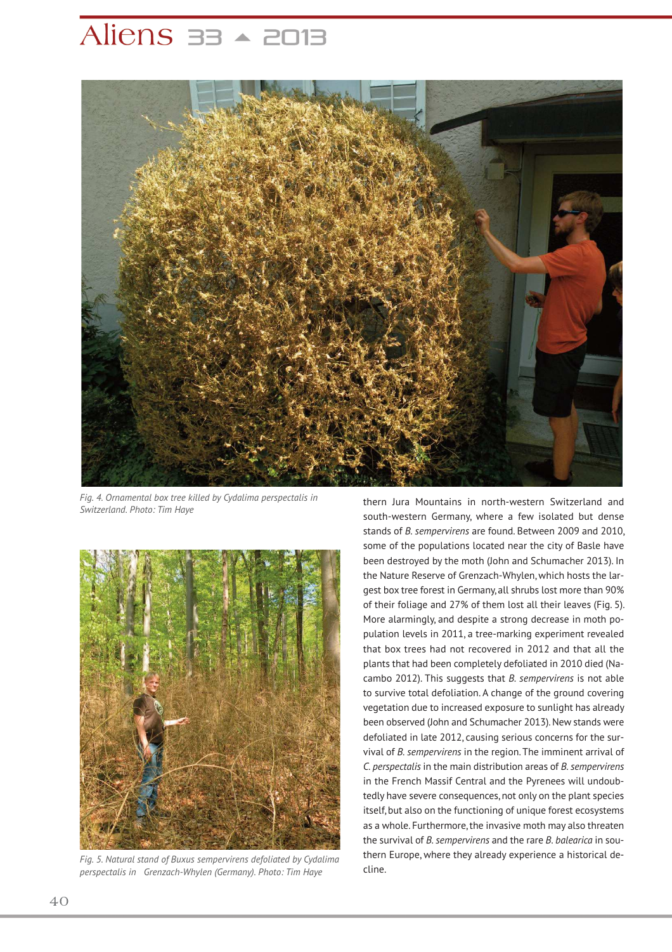## Aliens  $\overline{\mathsf{a}}$   $\overline{\mathsf{a}}$   $\overline{\mathsf{a}}$   $\overline{\mathsf{a}}$   $\overline{\mathsf{a}}$   $\overline{\mathsf{a}}$   $\overline{\mathsf{a}}$   $\overline{\mathsf{a}}$   $\overline{\mathsf{a}}$   $\overline{\mathsf{a}}$   $\overline{\mathsf{a}}$   $\overline{\mathsf{a}}$   $\overline{\mathsf{a}}$   $\overline{\mathsf{a}}$   $\overline{\mathsf{a}}$   $\overline{\mathsf{a}}$   $\overline{\mathsf{a}}$   $\overline{\mathsf{a}}$



*Fig. 4. Ornamental box tree killed by Cydalima perspectalis in Switzerland. Photo: Tim Haye*



*Fig. 5. Natural stand of Buxus sempervirens defoliated by Cydalima perspectalis in Grenzach-Whylen (Germany). Photo: Tim Haye*

thern Jura Mountains in north-western Switzerland and south-western Germany, where a few isolated but dense stands of *B. sempervirens* are found. Between 2009 and 2010, some of the populations located near the city of Basle have been destroyed by the moth (John and Schumacher 2013). In the Nature Reserve of Grenzach-Whylen, which hosts the largest box tree forest in Germany, all shrubs lost more than 90% of their foliage and 27% of them lost all their leaves (Fig. 5). More alarmingly, and despite a strong decrease in moth population levels in 2011, a tree-marking experiment revealed that box trees had not recovered in 2012 and that all the plants that had been completely defoliated in 2010 died (Nacambo 2012). This suggests that *B. sempervirens* is not able to survive total defoliation. A change of the ground covering vegetation due to increased exposure to sunlight has already been observed (John and Schumacher 2013). New stands were defoliated in late 2012, causing serious concerns for the survival of *B. sempervirens* in the region. The imminent arrival of *C. perspectalis* in the main distribution areas of *B. sempervirens* in the French Massif Central and the Pyrenees will undoubtedly have severe consequences, not only on the plant species itself, but also on the functioning of unique forest ecosystems as a whole. Furthermore, the invasive moth may also threaten the survival of *B. sempervirens* and the rare *B. balearica* in southern Europe, where they already experience a historical decline.